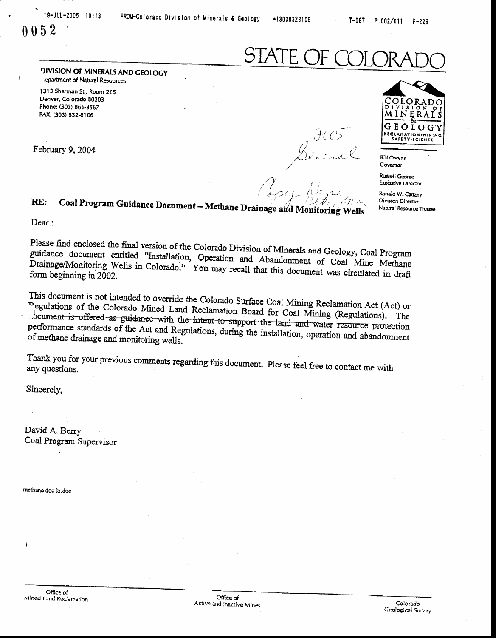$P.002/011$  $F - 226$ 

∩

# 

DIVISION OF MINERALS AND GEOLOGY lepartment of Natural Resources

1313 Sherman St., Room 215 Denver, Colorado 80203 Phone: (303) 866-3567 FAX: (303) 832-8106

February 9, 2004

FCC<br>Beneral

Russell George **Executive Director** 

OLOR

MINERA

LLAMATION+HINII<br>SAFETY+SCIENCE

O G

GEO

**Bill Owens** Governor

Ronald W. Cattany **Division Director** Natural Resource Trustee

Coal Program Guidance Document - Methane Drainage and Monitoring Wells

Dear:

RE:

Please find enclosed the final version of the Colorado Division of Minerals and Geology, Coal Program guidance document entitled "Installation, Operation and Abandonment of Coal Mine Methane Drainage/Monitoring Wells in Colorado." You may recall that this document was circulated in draft form beginning in 2002.

This document is not intended to override the Colorado Surface Coal Mining Reclamation Act (Act) or regulations of the Colorado Mined Land Reclamation Board for Coal Mining (Regulations). The ... between is offered as guidance with the intent to support the land and water resource protection performance standards of the Act and Regulations, during the installation, operation and abandonment of methane drainage and monitoring wells.

Thank you for your previous comments regarding this document. Please feel free to contact me with

Sincerely,

David A. Berry Coal Program Supervisor

methane doe it doe

Office of Mined Land Reclamation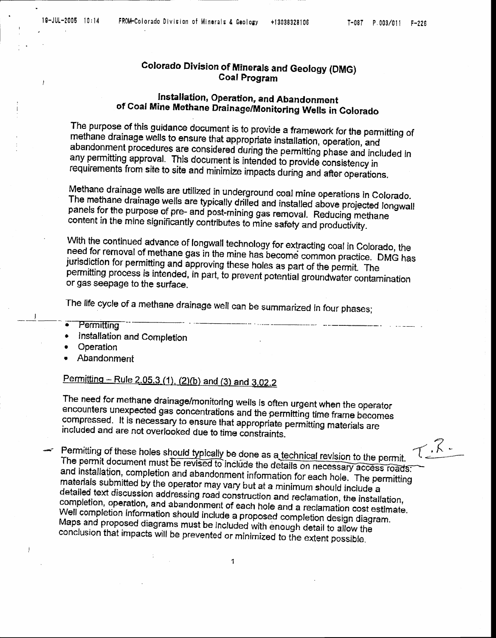ł

## **Colorado Division of Minerals and Geology (DMG) Coal Program**

## Installation, Operation, and Abandonment of Coal Mine Methane Drainage/Monitoring Wells in Colorado

The purpose of this guidance document is to provide a framework for the permitting of methane drainage wells to ensure that appropriate installation, operation, and abandonment procedures are considered during the permitting phase and included in any permitting approval. This document is intended to provide consistency in requirements from site to site and minimize impacts during and after operations.

Methane drainage wells are utilized in underground coal mine operations in Colorado. The methane drainage wells are typically drilled and installed above projected longwall panels for the purpose of pre- and post-mining gas removal. Reducing methane content in the mine significantly contributes to mine safety and productivity.

With the continued advance of longwall technology for extracting coal in Colorado, the need for removal of methane gas in the mine has become common practice. DMG has jurisdiction for permitting and approving these holes as part of the permit. The permitting process is intended, in part, to prevent potential groundwater contamination or gas seepage to the surface.

The life cycle of a methane drainage well can be summarized in four phases;

- Permitting
- Installation and Completion
- Operation

j

Abandonment

## Permitting - Rule 2.05.3 (1), (2)(b) and (3) and 3.02.2

The need for methane drainage/monitoring wells is often urgent when the operator encounters unexpected gas concentrations and the permitting time frame becomes compressed. It is necessary to ensure that appropriate permitting materials are included and are not overlooked due to time constraints.

 $7.7.$ Permitting of these holes should typically be done as a technical revision to the permit. The permit document must be revised to include the details on necessary access roads: and installation, completion and abandonment information for each hole. The permitting materials submitted by the operator may vary but at a minimum should include a detailed text discussion addressing road construction and reclamation, the installation, completion, operation, and abandonment of each hole and a reclamation cost estimate. Well completion information should include a proposed completion design diagram. Maps and proposed diagrams must be included with enough detail to allow the conclusion that impacts will be prevented or minimized to the extent possible.

 $\mathbf{1}$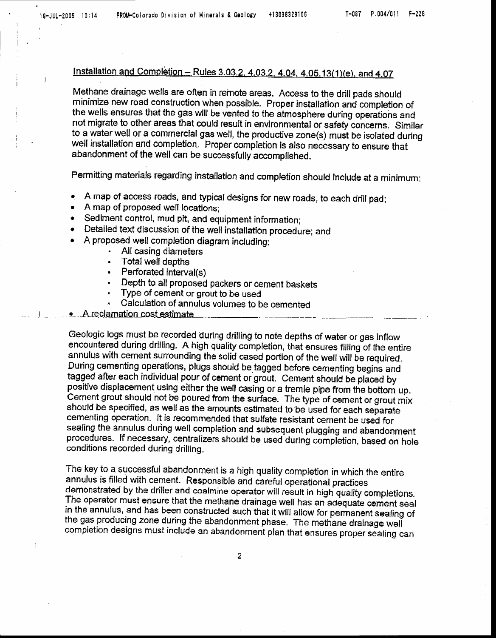$\overline{1}$ 

l

## Installation and Completion - Rules 3.03.2, 4.03.2, 4.04, 4.05.13(1)(e), and 4.07

Methane drainage welfs are often in remote areas. Access to the drill pads shoutd minirnize new road construction when possibfe. Proper installation and completion of the wells ensures that the gas will be vented to the atmosphere during operatiohs and not migrate to other areas that could result in environmental or safety concerns. Similar to a water well or a commercial gas well, the productive zone(s) must be isolated during well installation and completion. Proper completion is also necessary to ensure that abandonment of the well can be successfully accomplished.

Permitting materials regarding installation and completion should include at a minimum:

- . A map of access roads, and typical designs for new roads, to each drill pad;
- . A map of proposed well locations;
- . sedirnent control, mud pit, and equipment information;
- Detailed text discussion of the well installation procedure; and
- . A proposed well completion diagram including:
	- . All casing diameters
	- . Total well depths
	- . Perforated interval(s)
	- , Depth to all proposed packers or cement baskets
	- Type of cement or grout to be used
	- Calculation of annulus volumes to be cemented

### -A -r.e cl.amdio ncosleslimate-

Geologic logs must be recorded during drilling to note depths of water or gas inflow encountered during drilling. A high quality completion, that ensures filling of the entire annulus with cement surrounding the solid cased portion of the well will be required. During cementing operations, plugs should be tagged before cementing begins and<br>tagged after each individual pour of cement or grout. Cement should be placed by positive displacement using either the well casing or a tremie pipe from the bottom up.<br>Cernent grout should not be poured from the surface. The type of cernent or grout mix<br>should be specified, as well as the amounts esti sealing the annulus during well completion and subsequent plugging and abandonment<br>procedures. If necessary, centralizers should be used during completion, based on hole<br>conditions recorded during drilling.

The key to a successful abandonment is a high quality completion in which the entire annulus is filled with cement. Responsible and careful operational practices demonstrated by the driller and coalmine operator will result in high quality completions. The operator must ensure that the methane drainage well has an adequate cement seal<br>in the annulus, and has been constructed such that it will allow for permanent sealing of the gas producing zone during the abandonment phase. The methane drainage well<br>completion designs must include an abandonment plan that ensures proper sealing can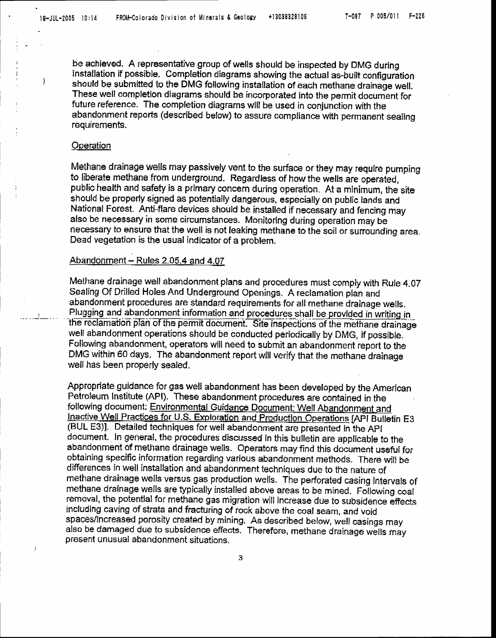$\overline{ }$ 

be achieved. A representative group of wells should be inspected by DMG during installation if possible. Completion diagrams showing the actual as-built configuration should be submitted to the DMG following installation of each methane drainage well. These well completion diagrams should be incorporated into the permit document for future reference. The completion diagrams will be used in conjunction with the abandonment reports (described below) to assure compliance with permanent sealing requirements.

#### Operation

Methane drainage wells may passively vent to the surface or they may require pumping to liberate methane from underground. Regardless of how the wells are operated, public health and safety is a primary concern during operation. At a minimum, the site should be properly signed as potentially dangerous, especially on public lands and National Forest. Anti-flare devices should be installed if necessary and fencing may also be necessary in some circumstances. Monitoring during operation may be necessary to ensure that the well is not leaking methane to the soil or surrounding area. Dead vegetation is the usual indicator of a problem.

#### Abandonment - Rules 2.05.4 and 4.07

Methane drainage well abandonment plans and procedures must comply with Rule 4.07 Sealing Of Drilled Holes And Underground Openings. A reclamation plan and abandonment procedures are standard requirements for all methane drainage wells. Plugging and abandonment information and procedures shall be provided in writing in the reclamation plan of the permit document. Site inspections of the methane drainage well abandonment operations should be conducted periodically by DMG, if possible. Following abandonment, operators will need to submit an abandonment report to the DMG within 60 days. The abandonment report will verify that the methane drainage well has been properly sealed.

Appropriate guidance for gas well abandonment has been developed by the American Petroleum Institute (API). These abandonment procedures are contained in the following document: Environmental Guidance Document: Well Abandonment and Inactive Well Practices for U.S. Exploration and Production Operations [API Bulletin E3 (BUL E3)]. Detailed techniques for well abandonment are presented in the API document. In general, the procedures discussed in this bulletin are applicable to the abandonment of methane drainage wells. Operators may find this document useful for obtaining specific information regarding various abandonment methods. There will be differences in well installation and abandonment techniques due to the nature of methane drainage wells versus gas production wells. The perforated casing intervals of methane drainage wells are typically installed above areas to be mined. Following coal removal, the potential for methane gas migration will increase due to subsidence effects including caving of strata and fracturing of rock above the coal seam, and void spaces/increased porosity created by mining. As described below, well casings may also be damaged due to subsidence effects. Therefore, methane drainage wells may present unusual abandonment situations.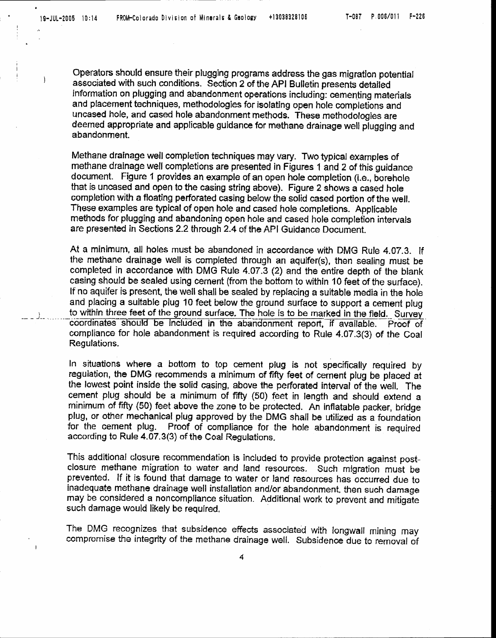,

Operators should ensure their plugging programs address the gas migration potential associated with such conditions. Section 2 of the API Bulletin presents detailed information on plugging and abandonment operations including: cemenfing materials and placement techniques, methodologies for isolating open hole completions and uncased hole, and cased hole abandonment methods. These methodologles are deemed appropriate and applicable guidance for methane drainage well plugging and abandonment.

Methane drainage well completion techniques may vary. Two typlcal examples of meftane dralnage well completions are presented in Figures 1 and 2 of ihis guidance document. Figure 1 provides an example of an open hole completion (i.e., borehole that is uncased and open to the casing string above). Figure 2 shows a cased hole completion with a floating perforated casing below the solid cased portion of the well. These examples are typical of open hole and cased hole completions. Applicable rnethods for plugging and abandoning open hole and cased hole comple{ion intervals are presented in Sections 2.2 through 2.4 of the API Guidance Document.

At a minimum, all holes must be abandoned in accordance with DMG Rule 4.07.3. lf the methane drainage well is oompleted through an aquife(s), then sealing must be completed in accordance wlth DMG Rule 4,07-3 (2) and the entire depth of the blank casing should be sealed using cement (from the bottom to within 10 feet of the surface). If no aquifer is present, the well shall be sealed by replacing a suitable media in the hole and placing a sultable plug 10 feet below the ground surface to support a cement plug to within three feet of the ground surface. The hole is to be marked in the field. Survey<br>coordinates should be included in the abandonment report, if available. Proof of coordinates should be included in the abandonment report, if available. compliance for hole abandonment is required according to Rule 4.07.3(3) of the Coal Regulations.

In situations where a bottom to top cement plug is not specifically required by regulation, the DMG recommends a minimum of fifty feet of cement plug be placed at the lowest point inside the solid casing, above the perforated interval of the wefl. The cement plug should be a minimum of fifty (50) feet in length and should extend a minimum of fifty (50) feet above the zone to be protected. An inflatable packer, bridge plug, or other mechanical plug approved by the DMG shall be utilized as a foundation<br>for the cement plug. Proof of compliance for the hole abandonment is required Proof of compliance for the hole abandonment is required according to Rule 4.07.3(3) of the Coal Regulations.

This additional closure recommendation is included to provide protection against postclosure methane migration to water and land resources. Such migration must be prevented. If it is found that damage to water or land resources has occurred due to inadequate methane drainage well installation and/or abandonment, then such damage may be considered a noncompliance situation. Additional work to prevent and mitigate such damage would likely be required,

The DMG recognizes that subsidence effects associated with longwall mining may compromise the integrity of the methane drainage well. Subsidence due to removal of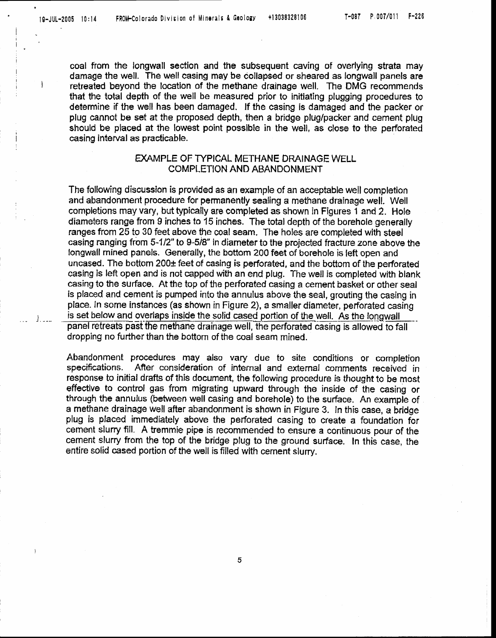$J_{\perp}$  ---

coal from the longwall section and the subsequent caving of overlying strata may damage the well. The well casing may be collapsed or sheared as longwall panels are l letreated beyond the location of the methane drainage well. The DMG recommends that the total depth of the well be measured prior to initiating plugging procedures to determine if the well has been damaged. lf the casing is damaged and the packer or plug cannot be set at the proposed depth, then a bridge plug/packer and cernent plug should be placed at the lowest point possible in the well, as close to the perforated casing interval as praoticable.

### EXAMPLE OF TYPICAL METHANE DRAINAGE WELL COMPLETION AND ABANDONMENT

The foflowing discussion is provided as an example of an acceptable well cornpletion and abandonment procedure for permanently sealing a methane drainage well. Well completions may vary, but typically are completed as shown in Figures 1 and 2. Hole diameters range from 9 inches to 15 inches. The total depth of the borehole generally ranges from 25 to 30 feet above the coal seam. The holes are completed with steel casing ranging from 5-1/2" to 9-5/8" in diameter to the projected fracture zone above the longwall mined panels. Generally, the bottom 200 feet of borehole is left open and uncased. The bottom  $200<sub>\pm</sub>$  feet of casing is perforated, and the bottom of the perforated casing is left open and is not capped with an end plug. The well is completed with blank casing to the surface. At the top of the perforated casing a cement basket or other seal is placed and cement is pumped into the annulus above the seal, grouting the casing in place. In some instances (as shown in Figure 2), a smaller diameter, perforated casing is set below and overlaps inside the solid cased portion of the well. As the longwall panel retreats past the methane drainage well, the perforated casing is allowed to fall dropping no further than the bottom of the coal seam mined.

Abandonment procedures may also vary due to site conditions or completion specifications. After consideration of internal and external comments received in After consideration of internal and external comments received in response to initial drafts of this document, the following procedure is thought to be most effecfive to controf gas from migrating upward through the inside of the casing or through the annulus (between well casing and borehole) to the surface. An example of a methane drainage well after abandonment is shown in Figure 3. ln this case, a bridge plug is placed immediately above the perforated casing to create a foundation for cement slurry fill. A tremmie pipe is recommended to ensure a continuous pour of the cement slurry from the top of the bridge plug to the ground surface. In this case, the entire solid cased portion of the well is filled with cement slurry.

5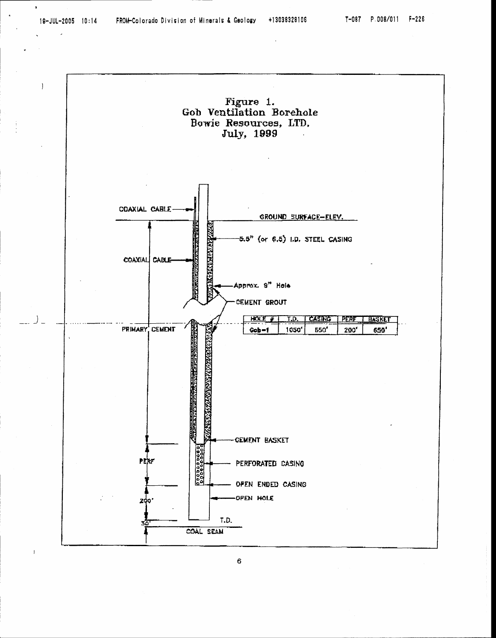$\bullet$ 

 $\mathbf{I}$ 



 $6<sup>1</sup>$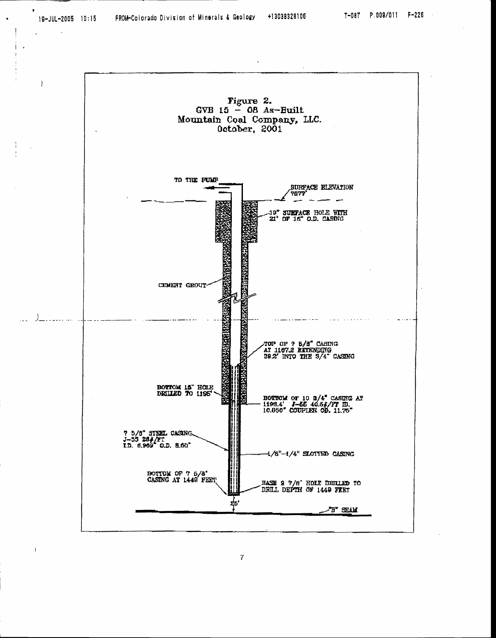

 $\boldsymbol{7}$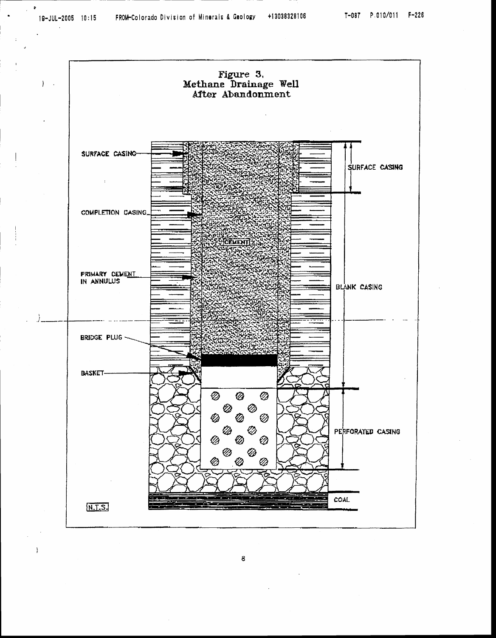

8